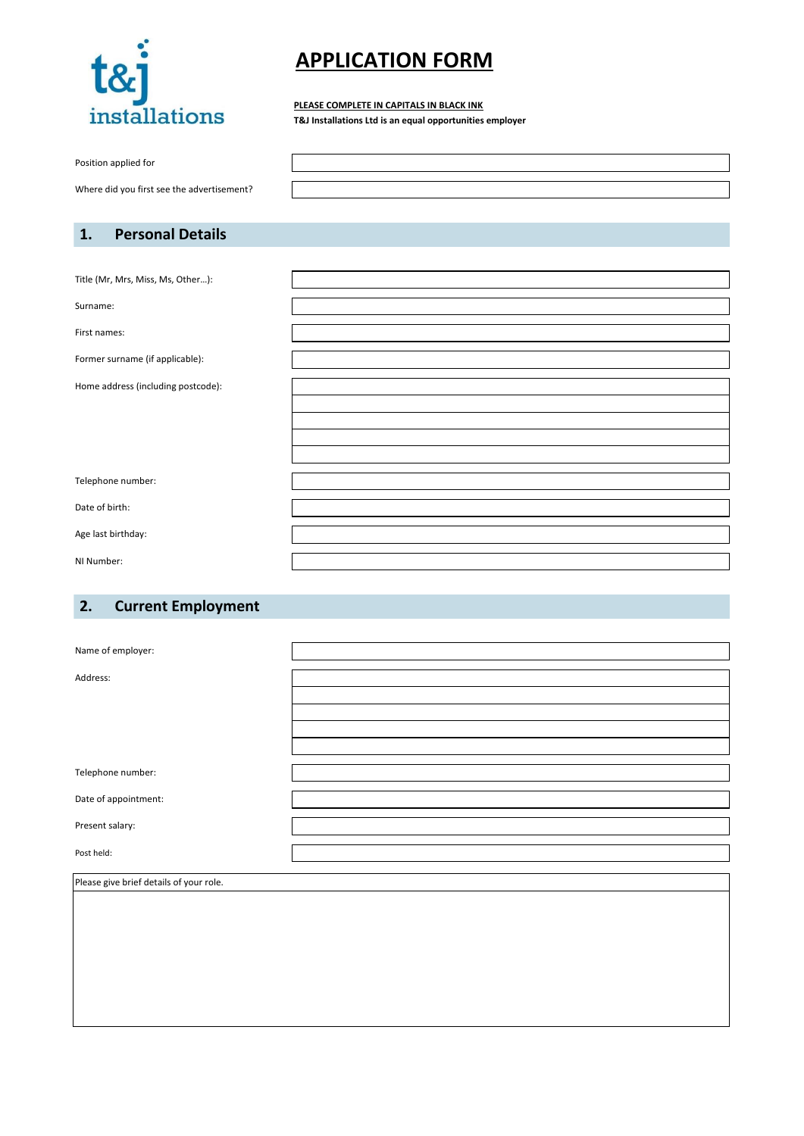

# **APPLICATION FORM**

#### **PLEASE COMPLETE IN CAPITALS IN BLACK INK**

**T&J Installations Ltd is an equal opportunities employer**

Position applied for

Where did you first see the advertisement?

### **1. Personal Details**

Title (Mr, Mrs, Miss, Ms, Other…):

Surname:

First names:

Former surname (if applicable):

Home address (including postcode):

Telephone number:

Date of birth:

Age last birthday:

NI Number:

### **2. Current Employment**

| Name of employer:    |  |
|----------------------|--|
| Address:             |  |
|                      |  |
|                      |  |
|                      |  |
|                      |  |
|                      |  |
| Telephone number:    |  |
| Date of appointment: |  |
| Present salary:      |  |
|                      |  |
| Post held:           |  |
|                      |  |

Please give brief details of your role.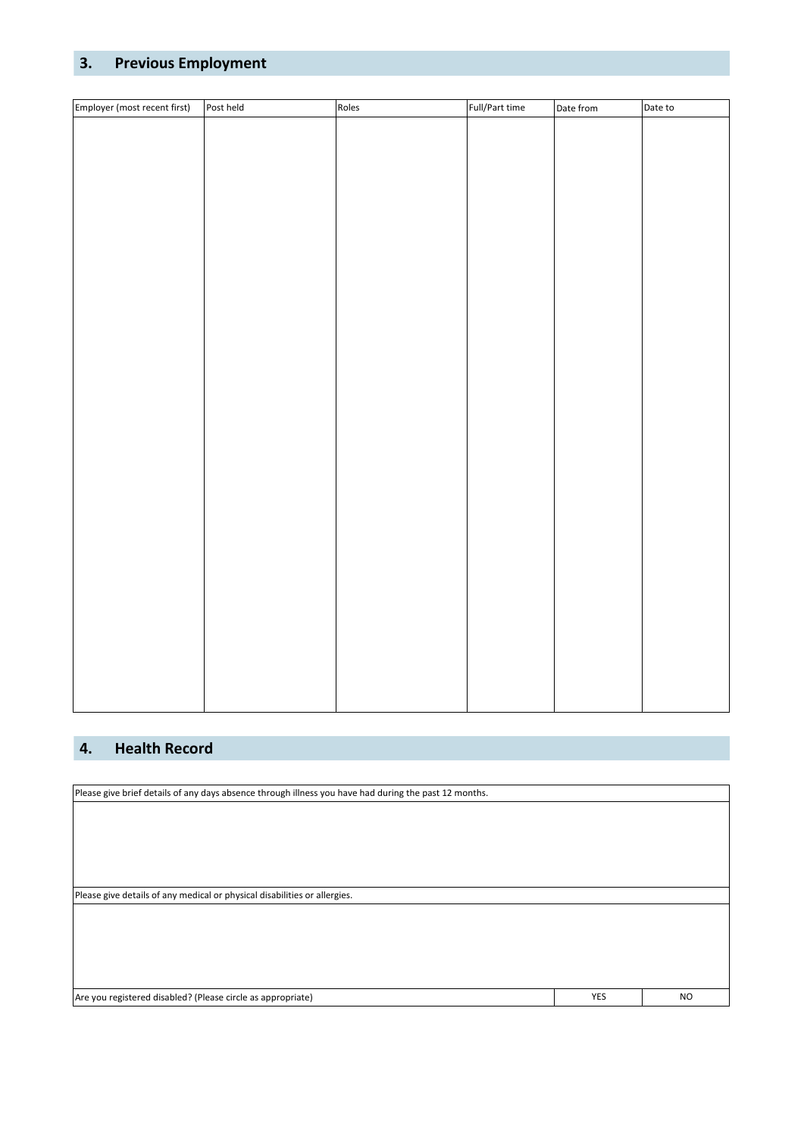### **3. Previous Employment**

| Employer (most recent first) | Post held | Roles | Full/Part time | Date from | Date to |
|------------------------------|-----------|-------|----------------|-----------|---------|
|                              |           |       |                |           |         |
|                              |           |       |                |           |         |
|                              |           |       |                |           |         |
|                              |           |       |                |           |         |
|                              |           |       |                |           |         |
|                              |           |       |                |           |         |
|                              |           |       |                |           |         |
|                              |           |       |                |           |         |
|                              |           |       |                |           |         |
|                              |           |       |                |           |         |
|                              |           |       |                |           |         |
|                              |           |       |                |           |         |
|                              |           |       |                |           |         |
|                              |           |       |                |           |         |
|                              |           |       |                |           |         |
|                              |           |       |                |           |         |
|                              |           |       |                |           |         |
|                              |           |       |                |           |         |
|                              |           |       |                |           |         |
|                              |           |       |                |           |         |
|                              |           |       |                |           |         |
|                              |           |       |                |           |         |
|                              |           |       |                |           |         |
|                              |           |       |                |           |         |
|                              |           |       |                |           |         |
|                              |           |       |                |           |         |
|                              |           |       |                |           |         |
|                              |           |       |                |           |         |
|                              |           |       |                |           |         |
|                              |           |       |                |           |         |
|                              |           |       |                |           |         |
|                              |           |       |                |           |         |
|                              |           |       |                |           |         |

### **4. Health Record**

Please give brief details of any days absence through illness you have had during the past 12 months. Please give details of any medical or physical disabilities or allergies. Are you registered disabled? (Please circle as appropriate) YES NO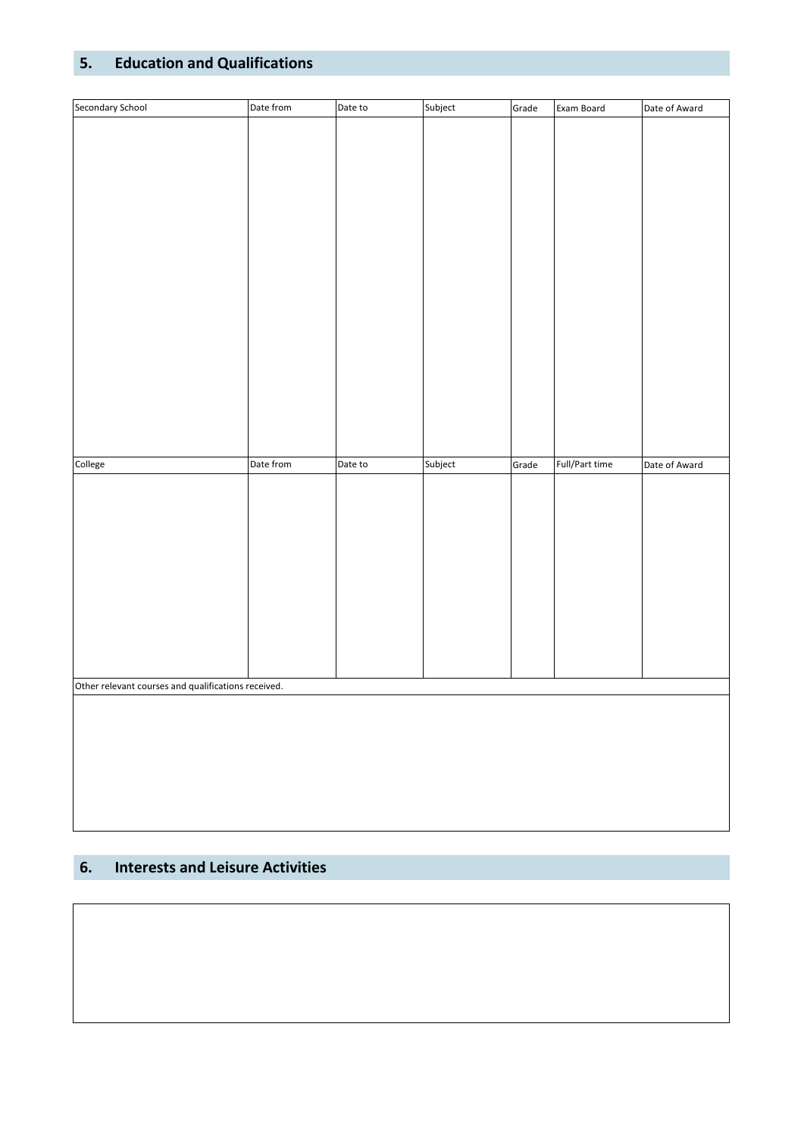# **5. Education and Qualifications**

| Secondary School                                    | Date from | Date to | Subject | Grade | Exam Board     | Date of Award |
|-----------------------------------------------------|-----------|---------|---------|-------|----------------|---------------|
|                                                     |           |         |         |       |                |               |
|                                                     |           |         |         |       |                |               |
|                                                     |           |         |         |       |                |               |
|                                                     |           |         |         |       |                |               |
|                                                     |           |         |         |       |                |               |
|                                                     |           |         |         |       |                |               |
|                                                     |           |         |         |       |                |               |
|                                                     |           |         |         |       |                |               |
|                                                     |           |         |         |       |                |               |
|                                                     |           |         |         |       |                |               |
|                                                     |           |         |         |       |                |               |
|                                                     |           |         |         |       |                |               |
|                                                     |           |         |         |       |                |               |
|                                                     |           |         |         |       |                |               |
|                                                     |           |         |         |       |                |               |
|                                                     |           |         |         |       |                |               |
|                                                     |           |         |         |       |                |               |
|                                                     |           |         |         |       |                |               |
|                                                     |           |         |         |       |                |               |
| College                                             | Date from | Date to | Subject | Grade | Full/Part time | Date of Award |
|                                                     |           |         |         |       |                |               |
|                                                     |           |         |         |       |                |               |
|                                                     |           |         |         |       |                |               |
|                                                     |           |         |         |       |                |               |
|                                                     |           |         |         |       |                |               |
|                                                     |           |         |         |       |                |               |
|                                                     |           |         |         |       |                |               |
|                                                     |           |         |         |       |                |               |
|                                                     |           |         |         |       |                |               |
|                                                     |           |         |         |       |                |               |
|                                                     |           |         |         |       |                |               |
| Other relevant courses and qualifications received. |           |         |         |       |                |               |
|                                                     |           |         |         |       |                |               |
|                                                     |           |         |         |       |                |               |
|                                                     |           |         |         |       |                |               |
|                                                     |           |         |         |       |                |               |
|                                                     |           |         |         |       |                |               |
|                                                     |           |         |         |       |                |               |
|                                                     |           |         |         |       |                |               |

## **6. Interests and Leisure Activities**